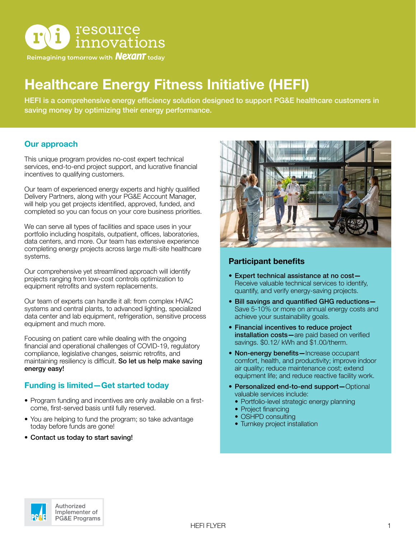

Reimagining tomorrow with **Nexant** today

# Healthcare Energy Fitness Initiative (HEFI)

HEFI is a comprehensive energy efficiency solution designed to support PG&E healthcare customers in saving money by optimizing their energy performance.

### Our approach

This unique program provides no-cost expert technical services, end-to-end project support, and lucrative financial incentives to qualifying customers.

Our team of experienced energy experts and highly qualified Delivery Partners, along with your PG&E Account Manager, will help you get projects identified, approved, funded, and completed so you can focus on your core business priorities.

We can serve all types of facilities and space uses in your portfolio including hospitals, outpatient, offices, laboratories, data centers, and more. Our team has extensive experience completing energy projects across large multi-site healthcare systems.

Our comprehensive yet streamlined approach will identify projects ranging from low-cost controls optimization to equipment retrofits and system replacements.

Our team of experts can handle it all: from complex HVAC systems and central plants, to advanced lighting, specialized data center and lab equipment, refrigeration, sensitive process equipment and much more.

Focusing on patient care while dealing with the ongoing financial and operational challenges of COVID-19, regulatory compliance, legislative changes, seismic retrofits, and maintaining resiliency is difficult. So let us help make saving energy easy!

# Funding is limited—Get started today

- Program funding and incentives are only available on a firstcome, first-served basis until fully reserved.
- You are helping to fund the program; so take advantage today before funds are gone!
- Contact us today to start saving!



#### Participant benefits

- Expert technical assistance at no cost— Receive valuable technical services to identify, quantify, and verify energy-saving projects.
- Bill savings and quantified GHG reductions— Save 5-10% or more on annual energy costs and achieve your sustainability goals.
- Financial incentives to reduce project installation costs-are paid based on verified savings. \$0.12/ kWh and \$1.00/therm.
- Non-energy benefits—Increase occupant comfort, health, and productivity; improve indoor air quality; reduce maintenance cost; extend equipment life; and reduce reactive facility work.
- Personalized end-to-end support—Optional valuable services include:
	- Portfolio-level strategic energy planning
	- Project financing
	- OSHPD consulting
	- Turnkey project installation